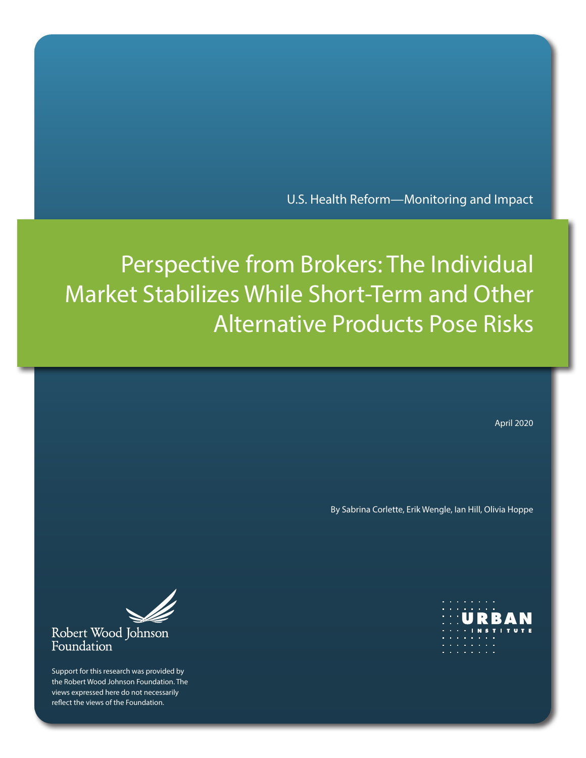U.S. Health Reform—Monitoring and Impact

# Perspective from Brokers: The Individual Market Stabilizes While Short-Term and Other Alternative Products Pose Risks

April 2020

By Sabrina Corlette, Erik Wengle, Ian Hill, Olivia Hoppe



Support for this research was provided by the Robert Wood Johnson Foundation. The views expressed here do not necessarily reflect the views of the Foundation.

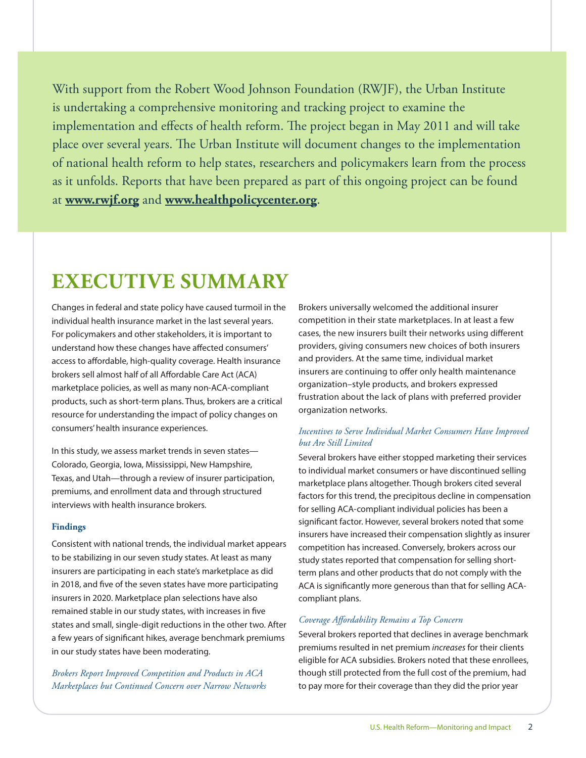With support from the Robert Wood Johnson Foundation (RWJF), the Urban Institute is undertaking a comprehensive monitoring and tracking project to examine the implementation and effects of health reform. The project began in May 2011 and will take place over several years. The Urban Institute will document changes to the implementation of national health reform to help states, researchers and policymakers learn from the process as it unfolds. Reports that have been prepared as part of this ongoing project can be found at **[www.rwjf.org](http://www.rwjf.org)** and **[www.healthpolicycenter.org](http://www.healthpolicycenter.org)**.

# **EXECUTIVE SUMMARY**

Changes in federal and state policy have caused turmoil in the individual health insurance market in the last several years. For policymakers and other stakeholders, it is important to understand how these changes have affected consumers' access to affordable, high-quality coverage. Health insurance brokers sell almost half of all Affordable Care Act (ACA) marketplace policies, as well as many non-ACA-compliant products, such as short-term plans. Thus, brokers are a critical resource for understanding the impact of policy changes on consumers' health insurance experiences.

In this study, we assess market trends in seven states— Colorado, Georgia, Iowa, Mississippi, New Hampshire, Texas, and Utah—through a review of insurer participation, premiums, and enrollment data and through structured interviews with health insurance brokers.

#### **Findings**

Consistent with national trends, the individual market appears to be stabilizing in our seven study states. At least as many insurers are participating in each state's marketplace as did in 2018, and five of the seven states have more participating insurers in 2020. Marketplace plan selections have also remained stable in our study states, with increases in five states and small, single-digit reductions in the other two. After a few years of significant hikes, average benchmark premiums in our study states have been moderating.

*Brokers Report Improved Competition and Products in ACA Marketplaces but Continued Concern over Narrow Networks* Brokers universally welcomed the additional insurer competition in their state marketplaces. In at least a few cases, the new insurers built their networks using different providers, giving consumers new choices of both insurers and providers. At the same time, individual market insurers are continuing to offer only health maintenance organization–style products, and brokers expressed frustration about the lack of plans with preferred provider organization networks.

# *Incentives to Serve Individual Market Consumers Have Improved but Are Still Limited*

Several brokers have either stopped marketing their services to individual market consumers or have discontinued selling marketplace plans altogether. Though brokers cited several factors for this trend, the precipitous decline in compensation for selling ACA-compliant individual policies has been a significant factor. However, several brokers noted that some insurers have increased their compensation slightly as insurer competition has increased. Conversely, brokers across our study states reported that compensation for selling shortterm plans and other products that do not comply with the ACA is significantly more generous than that for selling ACAcompliant plans.

## *Coverage Affordability Remains a Top Concern*

Several brokers reported that declines in average benchmark premiums resulted in net premium *increases* for their clients eligible for ACA subsidies. Brokers noted that these enrollees, though still protected from the full cost of the premium, had to pay more for their coverage than they did the prior year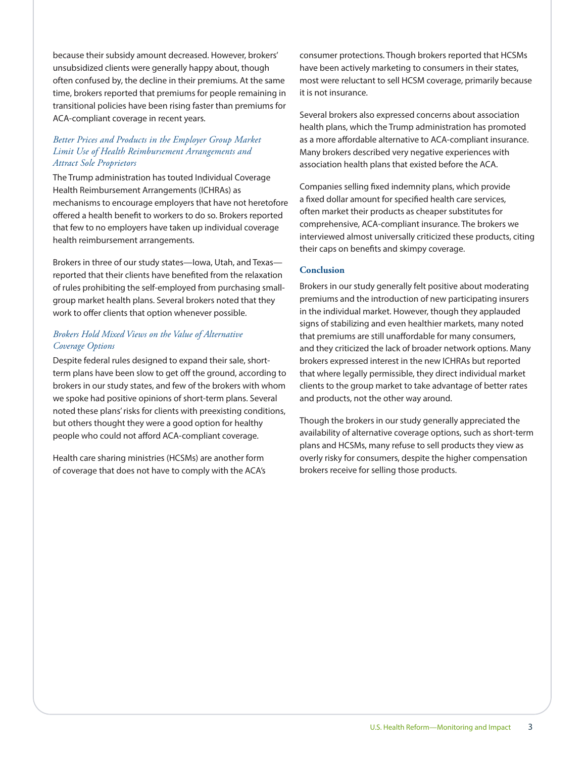because their subsidy amount decreased. However, brokers' unsubsidized clients were generally happy about, though often confused by, the decline in their premiums. At the same time, brokers reported that premiums for people remaining in transitional policies have been rising faster than premiums for ACA-compliant coverage in recent years.

## *Better Prices and Products in the Employer Group Market Limit Use of Health Reimbursement Arrangements and Attract Sole Proprietors*

The Trump administration has touted Individual Coverage Health Reimbursement Arrangements (ICHRAs) as mechanisms to encourage employers that have not heretofore offered a health benefit to workers to do so. Brokers reported that few to no employers have taken up individual coverage health reimbursement arrangements.

Brokers in three of our study states—Iowa, Utah, and Texas reported that their clients have benefited from the relaxation of rules prohibiting the self-employed from purchasing smallgroup market health plans. Several brokers noted that they work to offer clients that option whenever possible.

# *Brokers Hold Mixed Views on the Value of Alternative Coverage Options*

Despite federal rules designed to expand their sale, shortterm plans have been slow to get off the ground, according to brokers in our study states, and few of the brokers with whom we spoke had positive opinions of short-term plans. Several noted these plans' risks for clients with preexisting conditions, but others thought they were a good option for healthy people who could not afford ACA-compliant coverage.

Health care sharing ministries (HCSMs) are another form of coverage that does not have to comply with the ACA's consumer protections. Though brokers reported that HCSMs have been actively marketing to consumers in their states, most were reluctant to sell HCSM coverage, primarily because it is not insurance.

Several brokers also expressed concerns about association health plans, which the Trump administration has promoted as a more affordable alternative to ACA-compliant insurance. Many brokers described very negative experiences with association health plans that existed before the ACA.

Companies selling fixed indemnity plans, which provide a fixed dollar amount for specified health care services, often market their products as cheaper substitutes for comprehensive, ACA-compliant insurance. The brokers we interviewed almost universally criticized these products, citing their caps on benefits and skimpy coverage.

### **Conclusion**

Brokers in our study generally felt positive about moderating premiums and the introduction of new participating insurers in the individual market. However, though they applauded signs of stabilizing and even healthier markets, many noted that premiums are still unaffordable for many consumers, and they criticized the lack of broader network options. Many brokers expressed interest in the new ICHRAs but reported that where legally permissible, they direct individual market clients to the group market to take advantage of better rates and products, not the other way around.

Though the brokers in our study generally appreciated the availability of alternative coverage options, such as short-term plans and HCSMs, many refuse to sell products they view as overly risky for consumers, despite the higher compensation brokers receive for selling those products.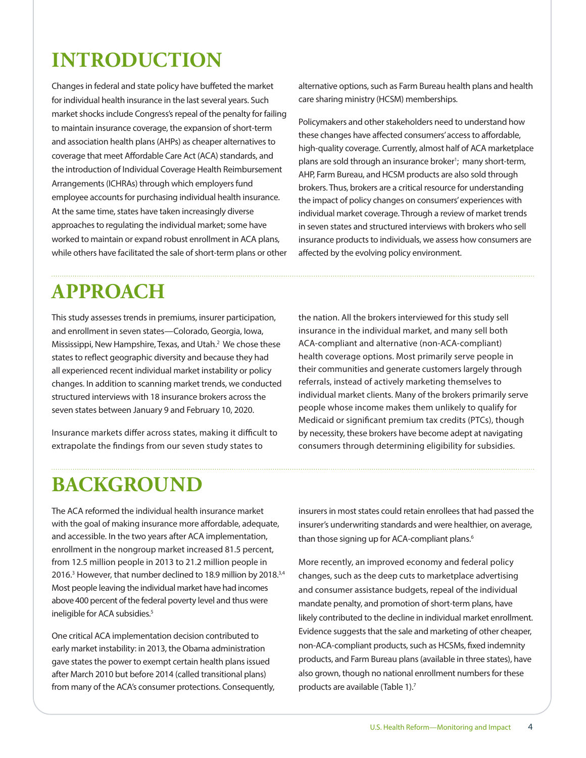# **INTRODUCTION**

Changes in federal and state policy have buffeted the market for individual health insurance in the last several years. Such market shocks include Congress's repeal of the penalty for failing to maintain insurance coverage, the expansion of short-term and association health plans (AHPs) as cheaper alternatives to coverage that meet Affordable Care Act (ACA) standards, and the introduction of Individual Coverage Health Reimbursement Arrangements (ICHRAs) through which employers fund employee accounts for purchasing individual health insurance. At the same time, states have taken increasingly diverse approaches to regulating the individual market; some have worked to maintain or expand robust enrollment in ACA plans, while others have facilitated the sale of short-term plans or other alternative options, such as Farm Bureau health plans and health care sharing ministry (HCSM) memberships.

Policymakers and other stakeholders need to understand how these changes have affected consumers' access to affordable, high-quality coverage. Currently, almost half of ACA marketplace plans are sold through an insurance broker<sup>1</sup>; many short-term, AHP, Farm Bureau, and HCSM products are also sold through brokers. Thus, brokers are a critical resource for understanding the impact of policy changes on consumers' experiences with individual market coverage. Through a review of market trends in seven states and structured interviews with brokers who sell insurance products to individuals, we assess how consumers are affected by the evolving policy environment.

# **APPROACH**

This study assesses trends in premiums, insurer participation, and enrollment in seven states—Colorado, Georgia, Iowa, Mississippi, New Hampshire, Texas, and Utah.<sup>2</sup> We chose these states to reflect geographic diversity and because they had all experienced recent individual market instability or policy changes. In addition to scanning market trends, we conducted structured interviews with 18 insurance brokers across the seven states between January 9 and February 10, 2020.

Insurance markets differ across states, making it difficult to extrapolate the findings from our seven study states to

the nation. All the brokers interviewed for this study sell insurance in the individual market, and many sell both ACA-compliant and alternative (non-ACA-compliant) health coverage options. Most primarily serve people in their communities and generate customers largely through referrals, instead of actively marketing themselves to individual market clients. Many of the brokers primarily serve people whose income makes them unlikely to qualify for Medicaid or significant premium tax credits (PTCs), though by necessity, these brokers have become adept at navigating consumers through determining eligibility for subsidies.

# **BACKGROUND**

The ACA reformed the individual health insurance market with the goal of making insurance more affordable, adequate, and accessible. In the two years after ACA implementation, enrollment in the nongroup market increased 81.5 percent, from 12.5 million people in 2013 to 21.2 million people in 2016.<sup>3</sup> However, that number declined to 18.9 million by 2018.<sup>3,4</sup> Most people leaving the individual market have had incomes above 400 percent of the federal poverty level and thus were ineligible for ACA subsidies.<sup>5</sup>

One critical ACA implementation decision contributed to early market instability: in 2013, the Obama administration gave states the power to exempt certain health plans issued after March 2010 but before 2014 (called transitional plans) from many of the ACA's consumer protections. Consequently, insurers in most states could retain enrollees that had passed the insurer's underwriting standards and were healthier, on average, than those signing up for ACA-compliant plans.<sup>6</sup>

More recently, an improved economy and federal policy changes, such as the deep cuts to marketplace advertising and consumer assistance budgets, repeal of the individual mandate penalty, and promotion of short-term plans, have likely contributed to the decline in individual market enrollment. Evidence suggests that the sale and marketing of other cheaper, non-ACA-compliant products, such as HCSMs, fixed indemnity products, and Farm Bureau plans (available in three states), have also grown, though no national enrollment numbers for these products are available (Table 1).<sup>7</sup>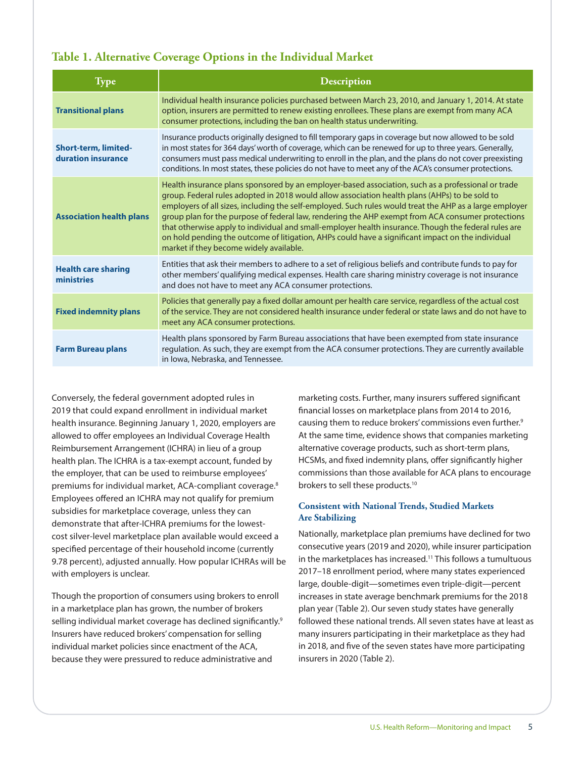# **Table 1. Alternative Coverage Options in the Individual Market**

| <b>Type</b>                                       | <b>Description</b>                                                                                                                                                                                                                                                                                                                                                                                                                                                                                                                                                                                                                                                           |
|---------------------------------------------------|------------------------------------------------------------------------------------------------------------------------------------------------------------------------------------------------------------------------------------------------------------------------------------------------------------------------------------------------------------------------------------------------------------------------------------------------------------------------------------------------------------------------------------------------------------------------------------------------------------------------------------------------------------------------------|
| <b>Transitional plans</b>                         | Individual health insurance policies purchased between March 23, 2010, and January 1, 2014. At state<br>option, insurers are permitted to renew existing enrollees. These plans are exempt from many ACA<br>consumer protections, including the ban on health status underwriting.                                                                                                                                                                                                                                                                                                                                                                                           |
| <b>Short-term, limited-</b><br>duration insurance | Insurance products originally designed to fill temporary gaps in coverage but now allowed to be sold<br>in most states for 364 days' worth of coverage, which can be renewed for up to three years. Generally,<br>consumers must pass medical underwriting to enroll in the plan, and the plans do not cover preexisting<br>conditions. In most states, these policies do not have to meet any of the ACA's consumer protections.                                                                                                                                                                                                                                            |
| <b>Association health plans</b>                   | Health insurance plans sponsored by an employer-based association, such as a professional or trade<br>group. Federal rules adopted in 2018 would allow association health plans (AHPs) to be sold to<br>employers of all sizes, including the self-employed. Such rules would treat the AHP as a large employer<br>group plan for the purpose of federal law, rendering the AHP exempt from ACA consumer protections<br>that otherwise apply to individual and small-employer health insurance. Though the federal rules are<br>on hold pending the outcome of litigation, AHPs could have a significant impact on the individual<br>market if they become widely available. |
| <b>Health care sharing</b><br>ministries          | Entities that ask their members to adhere to a set of religious beliefs and contribute funds to pay for<br>other members' qualifying medical expenses. Health care sharing ministry coverage is not insurance<br>and does not have to meet any ACA consumer protections.                                                                                                                                                                                                                                                                                                                                                                                                     |
| <b>Fixed indemnity plans</b>                      | Policies that generally pay a fixed dollar amount per health care service, regardless of the actual cost<br>of the service. They are not considered health insurance under federal or state laws and do not have to<br>meet any ACA consumer protections.                                                                                                                                                                                                                                                                                                                                                                                                                    |
| <b>Farm Bureau plans</b>                          | Health plans sponsored by Farm Bureau associations that have been exempted from state insurance<br>regulation. As such, they are exempt from the ACA consumer protections. They are currently available<br>in Iowa, Nebraska, and Tennessee.                                                                                                                                                                                                                                                                                                                                                                                                                                 |

Conversely, the federal government adopted rules in 2019 that could expand enrollment in individual market health insurance. Beginning January 1, 2020, employers are allowed to offer employees an Individual Coverage Health Reimbursement Arrangement (ICHRA) in lieu of a group health plan. The ICHRA is a tax-exempt account, funded by the employer, that can be used to reimburse employees' premiums for individual market, ACA-compliant coverage.<sup>8</sup> Employees offered an ICHRA may not qualify for premium subsidies for marketplace coverage, unless they can demonstrate that after-ICHRA premiums for the lowestcost silver-level marketplace plan available would exceed a specified percentage of their household income (currently 9.78 percent), adjusted annually. How popular ICHRAs will be with employers is unclear.

Though the proportion of consumers using brokers to enroll in a marketplace plan has grown, the number of brokers selling individual market coverage has declined significantly.<sup>9</sup> Insurers have reduced brokers' compensation for selling individual market policies since enactment of the ACA, because they were pressured to reduce administrative and

marketing costs. Further, many insurers suffered significant financial losses on marketplace plans from 2014 to 2016, causing them to reduce brokers' commissions even further.<sup>9</sup> At the same time, evidence shows that companies marketing alternative coverage products, such as short-term plans, HCSMs, and fixed indemnity plans, offer significantly higher commissions than those available for ACA plans to encourage brokers to sell these products.10

# **Consistent with National Trends, Studied Markets Are Stabilizing**

Nationally, marketplace plan premiums have declined for two consecutive years (2019 and 2020), while insurer participation in the marketplaces has increased.<sup>11</sup> This follows a tumultuous 2017–18 enrollment period, where many states experienced large, double-digit—sometimes even triple-digit—percent increases in state average benchmark premiums for the 2018 plan year (Table 2). Our seven study states have generally followed these national trends. All seven states have at least as many insurers participating in their marketplace as they had in 2018, and five of the seven states have more participating insurers in 2020 (Table 2).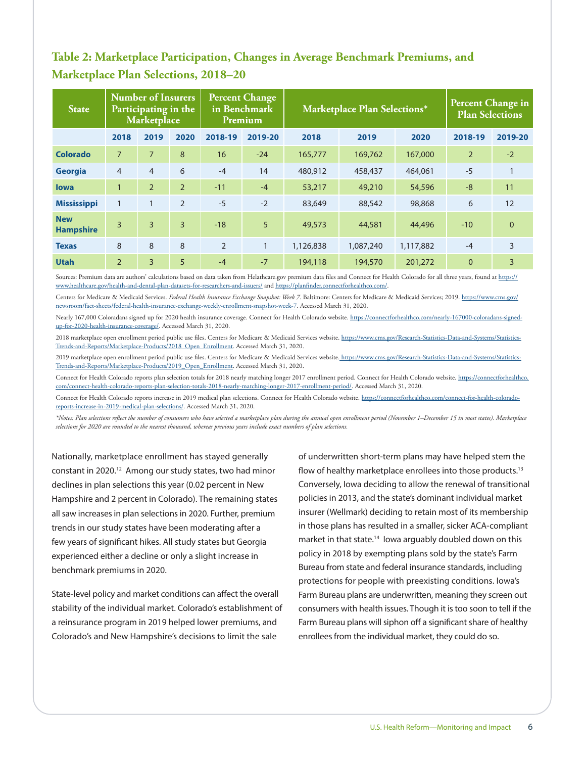# **Table 2: Marketplace Participation, Changes in Average Benchmark Premiums, and Marketplace Plan Selections, 2018–20**

| <b>State</b>                   | <b>Number of Insurers</b><br>Participating in the<br><b>Marketplace</b> |                | <b>Percent Change</b><br>in Benchmark<br>Premium |                | Marketplace Plan Selections* |           |           | Percent Change in<br><b>Plan Selections</b> |                |              |
|--------------------------------|-------------------------------------------------------------------------|----------------|--------------------------------------------------|----------------|------------------------------|-----------|-----------|---------------------------------------------|----------------|--------------|
|                                | 2018                                                                    | 2019           | 2020                                             | 2018-19        | 2019-20                      | 2018      | 2019      | 2020                                        | 2018-19        | 2019-20      |
| <b>Colorado</b>                | $\overline{7}$                                                          | $\overline{7}$ | 8                                                | 16             | $-24$                        | 165,777   | 169,762   | 167,000                                     | $\overline{2}$ | $-2$         |
| <b>Georgia</b>                 | $\overline{4}$                                                          | $\overline{4}$ | 6                                                | $-4$           | 14                           | 480,912   | 458,437   | 464,061                                     | $-5$           | $\mathbf{1}$ |
| <b>lowa</b>                    | $\mathbf{1}$                                                            | $\overline{2}$ | $\overline{2}$                                   | $-11$          | $-4$                         | 53,217    | 49,210    | 54,596                                      | $-8$           | 11           |
| <b>Mississippi</b>             | 1                                                                       | $\mathbf{1}$   | $\overline{2}$                                   | $-5$           | $-2$                         | 83,649    | 88,542    | 98,868                                      | 6              | 12           |
| <b>New</b><br><b>Hampshire</b> | 3                                                                       | $\overline{3}$ | $\overline{3}$                                   | $-18$          | 5                            | 49,573    | 44,581    | 44,496                                      | $-10$          | $\Omega$     |
| <b>Texas</b>                   | 8                                                                       | 8              | 8                                                | $\overline{2}$ | $\mathbf{1}$                 | 1,126,838 | 1,087,240 | 1,117,882                                   | $-4$           | 3            |
| <b>Utah</b>                    | $\overline{2}$                                                          | 3              | $\overline{5}$                                   | $-4$           | $-7$                         | 194,118   | 194,570   | 201,272                                     | $\Omega$       | 3            |

Sources: Premium data are authors' calculations based on data taken from Helathcare.gov premium data files and Connect for Health Colorado for all three years, found at [https://](https://www.healthcare.gov/health-and-dental-plan-datasets-for-researchers-and-issuers/) [www.healthcare.gov/health-and-dental-plan-datasets-for-researchers-and-issuers/](https://www.healthcare.gov/health-and-dental-plan-datasets-for-researchers-and-issuers/) and [https://planfinder.connectforhealthco.com/.](https://planfinder.connectforhealthco.com/)

Centers for Medicare & Medicaid Services. *Federal Health Insurance Exchange Snapshot: Week 7*. Baltimore: Centers for Medicare & Medicaid Services; 2019. [https://www.cms.gov/](https://www.cms.gov/newsroom/fact-sheets/federal-health-insurance-exchange-weekly-enrollment-snapshot-week-7) [newsroom/fact-sheets/federal-health-insurance-exchange-weekly-enrollment-snapshot-week-7](https://www.cms.gov/newsroom/fact-sheets/federal-health-insurance-exchange-weekly-enrollment-snapshot-week-7). Accessed March 31, 2020.

Nearly 167,000 Coloradans signed up for 2020 health insurance coverage. Connect for Health Colorado website. [https://connectforhealthco.com/nearly-167000-coloradans-signed](https://connectforhealthco.com/nearly-167000-coloradans-signed-up-for-2020-health-insurance-coverage/)[up-for-2020-health-insurance-coverage/.](https://connectforhealthco.com/nearly-167000-coloradans-signed-up-for-2020-health-insurance-coverage/) Accessed March 31, 2020.

2018 marketplace open enrollment period public use files. Centers for Medicare & Medicaid Services website. [https://www.cms.gov/Research-Statistics-Data-and-Systems/Statistics-](https://www.cms.gov/Research-Statistics-Data-and-Systems/Statistics-Trends-and-Reports/Marketplace-Products/2018_Open_Enrollment)[Trends-and-Reports/Marketplace-Products/2018\\_Open\\_Enrollment](https://www.cms.gov/Research-Statistics-Data-and-Systems/Statistics-Trends-and-Reports/Marketplace-Products/2018_Open_Enrollment). Accessed March 31, 2020.

2019 marketplace open enrollment period public use files. Centers for Medicare & Medicaid Services website[. https://www.cms.gov/Research-Statistics-Data-and-Systems/Statistics-](https://www.cms.gov/Research-Statistics-Data-and-Systems/Statistics-Trends-and-Reports/Marketplace-Products/2019_Open_Enrollment)[Trends-and-Reports/Marketplace-Products/2019\\_Open\\_Enrollment](https://www.cms.gov/Research-Statistics-Data-and-Systems/Statistics-Trends-and-Reports/Marketplace-Products/2019_Open_Enrollment). Accessed March 31, 2020.

Connect for Health Colorado reports plan selection totals for 2018 nearly matching longer 2017 enrollment period. Connect for Health Colorado website. [https://connectforhealthco.](https://connectforhealthco.com/connect-health-colorado-reports-plan-selection-totals-2018-nearly-matching-longer-2017-enrollment-period/) [com/connect-health-colorado-reports-plan-selection-totals-2018-nearly-matching-longer-2017-enrollment-period/](https://connectforhealthco.com/connect-health-colorado-reports-plan-selection-totals-2018-nearly-matching-longer-2017-enrollment-period/). Accessed March 31, 2020.

Connect for Health Colorado reports increase in 2019 medical plan selections. Connect for Health Colorado website. [https://connectforhealthco.com/connect-for-health-colorado](https://connectforhealthco.com/connect-for-health-colorado-reports-increase-in-2019-medical-plan-selections/)[reports-increase-in-2019-medical-plan-selections/.](https://connectforhealthco.com/connect-for-health-colorado-reports-increase-in-2019-medical-plan-selections/) Accessed March 31, 2020.

*\*Notes: Plan selections reflect the number of consumers who have selected a marketplace plan during the annual open enrollment period (November 1–December 15 in most states). Marketplace selections for 2020 are rounded to the nearest thousand, whereas previous years include exact numbers of plan selections.*

Nationally, marketplace enrollment has stayed generally constant in 2020.12 Among our study states, two had minor declines in plan selections this year (0.02 percent in New Hampshire and 2 percent in Colorado). The remaining states all saw increases in plan selections in 2020. Further, premium trends in our study states have been moderating after a few years of significant hikes. All study states but Georgia experienced either a decline or only a slight increase in benchmark premiums in 2020.

State-level policy and market conditions can affect the overall stability of the individual market. Colorado's establishment of a reinsurance program in 2019 helped lower premiums, and Colorado's and New Hampshire's decisions to limit the sale

of underwritten short-term plans may have helped stem the flow of healthy marketplace enrollees into those products.<sup>13</sup> Conversely, Iowa deciding to allow the renewal of transitional policies in 2013, and the state's dominant individual market insurer (Wellmark) deciding to retain most of its membership in those plans has resulted in a smaller, sicker ACA-compliant market in that state.<sup>14</sup> lowa arguably doubled down on this policy in 2018 by exempting plans sold by the state's Farm Bureau from state and federal insurance standards, including protections for people with preexisting conditions. Iowa's Farm Bureau plans are underwritten, meaning they screen out consumers with health issues. Though it is too soon to tell if the Farm Bureau plans will siphon off a significant share of healthy enrollees from the individual market, they could do so.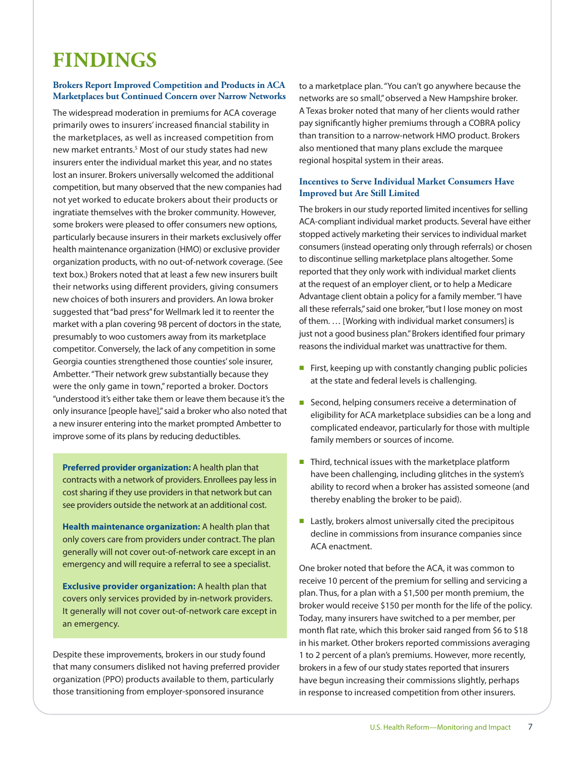# **FINDINGS**

# **Brokers Report Improved Competition and Products in ACA Marketplaces but Continued Concern over Narrow Networks**

The widespread moderation in premiums for ACA coverage primarily owes to insurers' increased financial stability in the marketplaces, as well as increased competition from new market entrants.<sup>5</sup> Most of our study states had new insurers enter the individual market this year, and no states lost an insurer. Brokers universally welcomed the additional competition, but many observed that the new companies had not yet worked to educate brokers about their products or ingratiate themselves with the broker community. However, some brokers were pleased to offer consumers new options, particularly because insurers in their markets exclusively offer health maintenance organization (HMO) or exclusive provider organization products, with no out-of-network coverage. (See text box.) Brokers noted that at least a few new insurers built their networks using different providers, giving consumers new choices of both insurers and providers. An Iowa broker suggested that "bad press" for Wellmark led it to reenter the market with a plan covering 98 percent of doctors in the state, presumably to woo customers away from its marketplace competitor. Conversely, the lack of any competition in some Georgia counties strengthened those counties' sole insurer, Ambetter. "Their network grew substantially because they were the only game in town," reported a broker. Doctors "understood it's either take them or leave them because it's the only insurance [people have]," said a broker who also noted that a new insurer entering into the market prompted Ambetter to improve some of its plans by reducing deductibles.

**Preferred provider organization:** A health plan that contracts with a network of providers. Enrollees pay less in cost sharing if they use providers in that network but can see providers outside the network at an additional cost.

**Health maintenance organization:** A health plan that only covers care from providers under contract. The plan generally will not cover out-of-network care except in an emergency and will require a referral to see a specialist.

**Exclusive provider organization:** A health plan that covers only services provided by in-network providers. It generally will not cover out-of-network care except in an emergency.

Despite these improvements, brokers in our study found that many consumers disliked not having preferred provider organization (PPO) products available to them, particularly those transitioning from employer-sponsored insurance

to a marketplace plan. "You can't go anywhere because the networks are so small," observed a New Hampshire broker. A Texas broker noted that many of her clients would rather pay significantly higher premiums through a COBRA policy than transition to a narrow-network HMO product. Brokers also mentioned that many plans exclude the marquee regional hospital system in their areas.

### **Incentives to Serve Individual Market Consumers Have Improved but Are Still Limited**

The brokers in our study reported limited incentives for selling ACA-compliant individual market products. Several have either stopped actively marketing their services to individual market consumers (instead operating only through referrals) or chosen to discontinue selling marketplace plans altogether. Some reported that they only work with individual market clients at the request of an employer client, or to help a Medicare Advantage client obtain a policy for a family member. "I have all these referrals," said one broker, "but I lose money on most of them. … [Working with individual market consumers] is just not a good business plan." Brokers identified four primary reasons the individual market was unattractive for them.

- First, keeping up with constantly changing public policies at the state and federal levels is challenging.
- Second, helping consumers receive a determination of eligibility for ACA marketplace subsidies can be a long and complicated endeavor, particularly for those with multiple family members or sources of income.
- Third, technical issues with the marketplace platform have been challenging, including glitches in the system's ability to record when a broker has assisted someone (and thereby enabling the broker to be paid).
- **Lastly, brokers almost universally cited the precipitous** decline in commissions from insurance companies since ACA enactment.

One broker noted that before the ACA, it was common to receive 10 percent of the premium for selling and servicing a plan. Thus, for a plan with a \$1,500 per month premium, the broker would receive \$150 per month for the life of the policy. Today, many insurers have switched to a per member, per month flat rate, which this broker said ranged from \$6 to \$18 in his market. Other brokers reported commissions averaging 1 to 2 percent of a plan's premiums. However, more recently, brokers in a few of our study states reported that insurers have begun increasing their commissions slightly, perhaps in response to increased competition from other insurers.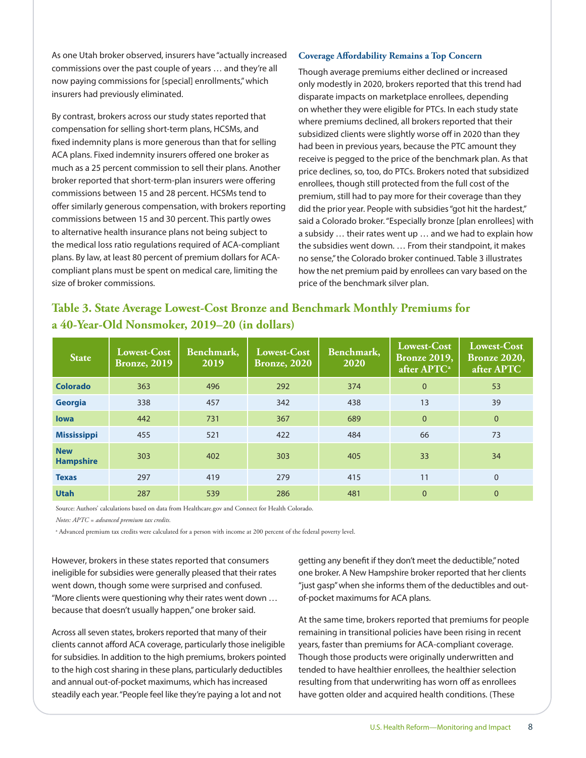As one Utah broker observed, insurers have "actually increased commissions over the past couple of years … and they're all now paying commissions for [special] enrollments," which insurers had previously eliminated.

By contrast, brokers across our study states reported that compensation for selling short-term plans, HCSMs, and fixed indemnity plans is more generous than that for selling ACA plans. Fixed indemnity insurers offered one broker as much as a 25 percent commission to sell their plans. Another broker reported that short-term-plan insurers were offering commissions between 15 and 28 percent. HCSMs tend to offer similarly generous compensation, with brokers reporting commissions between 15 and 30 percent. This partly owes to alternative health insurance plans not being subject to the medical loss ratio regulations required of ACA-compliant plans. By law, at least 80 percent of premium dollars for ACAcompliant plans must be spent on medical care, limiting the size of broker commissions.

#### **Coverage Affordability Remains a Top Concern**

Though average premiums either declined or increased only modestly in 2020, brokers reported that this trend had disparate impacts on marketplace enrollees, depending on whether they were eligible for PTCs. In each study state where premiums declined, all brokers reported that their subsidized clients were slightly worse off in 2020 than they had been in previous years, because the PTC amount they receive is pegged to the price of the benchmark plan. As that price declines, so, too, do PTCs. Brokers noted that subsidized enrollees, though still protected from the full cost of the premium, still had to pay more for their coverage than they did the prior year. People with subsidies "got hit the hardest," said a Colorado broker. "Especially bronze [plan enrollees] with a subsidy … their rates went up … and we had to explain how the subsidies went down. … From their standpoint, it makes no sense," the Colorado broker continued. Table 3 illustrates how the net premium paid by enrollees can vary based on the price of the benchmark silver plan.

**Table 3. State Average Lowest-Cost Bronze and Benchmark Monthly Premiums for a 40-Year-Old Nonsmoker, 2019–20 (in dollars)**

| <b>State</b>                   | Lowest-Cost<br><b>Bronze</b> , 2019 | Benchmark,<br>2019 | Lowest-Cost<br>Bronze, 2020 | Benchmark,<br>2020 | Lowest-Cost<br>Bronze 2019,<br>after APTC <sup>a</sup> | <b>Lowest-Cost</b><br><b>Bronze 2020,</b><br>after APTC |
|--------------------------------|-------------------------------------|--------------------|-----------------------------|--------------------|--------------------------------------------------------|---------------------------------------------------------|
| <b>Colorado</b>                | 363                                 | 496                | 292                         | 374                | $\mathbf{0}$                                           | 53                                                      |
| Georgia                        | 338                                 | 457                | 342                         | 438                | 13                                                     | 39                                                      |
| lowa                           | 442                                 | 731                | 367                         | 689                | $\mathbf{0}$                                           | $\mathbf{0}$                                            |
| <b>Mississippi</b>             | 455                                 | 521                | 422                         | 484                | 66                                                     | 73                                                      |
| <b>New</b><br><b>Hampshire</b> | 303                                 | 402                | 303                         | 405                | 33                                                     | 34                                                      |
| <b>Texas</b>                   | 297                                 | 419                | 279                         | 415                | 11                                                     | $\Omega$                                                |
| <b>Utah</b>                    | 287                                 | 539                | 286                         | 481                | $\mathbf{0}$                                           | $\Omega$                                                |

Source: Authors' calculations based on data from Healthcare.gov and Connect for Health Colorado.

*Notes: APTC = advanced premium tax credits.*

a Advanced premium tax credits were calculated for a person with income at 200 percent of the federal poverty level.

However, brokers in these states reported that consumers ineligible for subsidies were generally pleased that their rates went down, though some were surprised and confused. "More clients were questioning why their rates went down … because that doesn't usually happen," one broker said.

Across all seven states, brokers reported that many of their clients cannot afford ACA coverage, particularly those ineligible for subsidies. In addition to the high premiums, brokers pointed to the high cost sharing in these plans, particularly deductibles and annual out-of-pocket maximums, which has increased steadily each year. "People feel like they're paying a lot and not

getting any benefit if they don't meet the deductible," noted one broker. A New Hampshire broker reported that her clients "just gasp" when she informs them of the deductibles and outof-pocket maximums for ACA plans.

At the same time, brokers reported that premiums for people remaining in transitional policies have been rising in recent years, faster than premiums for ACA-compliant coverage. Though those products were originally underwritten and tended to have healthier enrollees, the healthier selection resulting from that underwriting has worn off as enrollees have gotten older and acquired health conditions. (These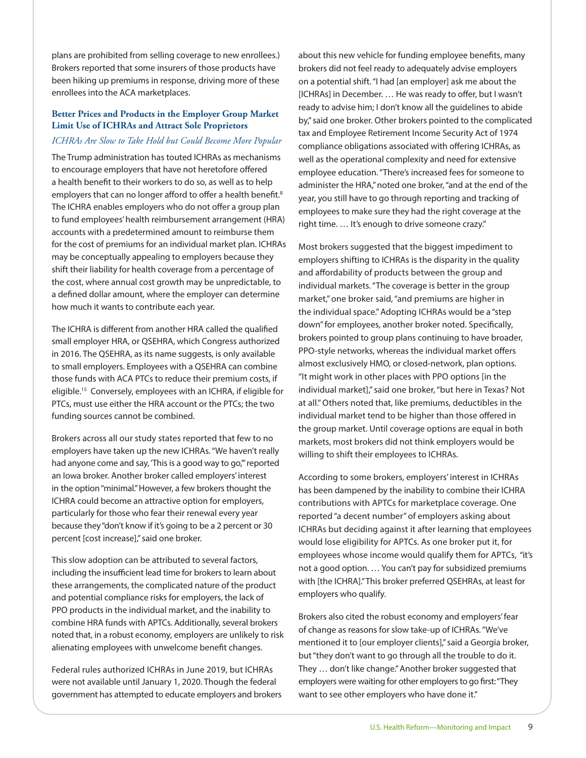plans are prohibited from selling coverage to new enrollees.) Brokers reported that some insurers of those products have been hiking up premiums in response, driving more of these enrollees into the ACA marketplaces.

### **Better Prices and Products in the Employer Group Market Limit Use of ICHRAs and Attract Sole Proprietors**

#### *ICHRAs Are Slow to Take Hold but Could Become More Popular*

The Trump administration has touted ICHRAs as mechanisms to encourage employers that have not heretofore offered a health benefit to their workers to do so, as well as to help employers that can no longer afford to offer a health benefit.<sup>8</sup> The ICHRA enables employers who do not offer a group plan to fund employees' health reimbursement arrangement (HRA) accounts with a predetermined amount to reimburse them for the cost of premiums for an individual market plan. ICHRAs may be conceptually appealing to employers because they shift their liability for health coverage from a percentage of the cost, where annual cost growth may be unpredictable, to a defined dollar amount, where the employer can determine how much it wants to contribute each year.

The ICHRA is different from another HRA called the qualified small employer HRA, or QSEHRA, which Congress authorized in 2016. The QSEHRA, as its name suggests, is only available to small employers. Employees with a QSEHRA can combine those funds with ACA PTCs to reduce their premium costs, if eligible.15 Conversely, employees with an ICHRA, if eligible for PTCs, must use either the HRA account or the PTCs; the two funding sources cannot be combined.

Brokers across all our study states reported that few to no employers have taken up the new ICHRAs. "We haven't really had anyone come and say, 'This is a good way to go," reported an Iowa broker. Another broker called employers' interest in the option "minimal." However, a few brokers thought the ICHRA could become an attractive option for employers, particularly for those who fear their renewal every year because they "don't know if it's going to be a 2 percent or 30 percent [cost increase]," said one broker.

This slow adoption can be attributed to several factors, including the insufficient lead time for brokers to learn about these arrangements, the complicated nature of the product and potential compliance risks for employers, the lack of PPO products in the individual market, and the inability to combine HRA funds with APTCs. Additionally, several brokers noted that, in a robust economy, employers are unlikely to risk alienating employees with unwelcome benefit changes.

Federal rules authorized ICHRAs in June 2019, but ICHRAs were not available until January 1, 2020. Though the federal government has attempted to educate employers and brokers about this new vehicle for funding employee benefits, many brokers did not feel ready to adequately advise employers on a potential shift. "I had [an employer] ask me about the [ICHRAs] in December. … He was ready to offer, but I wasn't ready to advise him; I don't know all the guidelines to abide by," said one broker. Other brokers pointed to the complicated tax and Employee Retirement Income Security Act of 1974 compliance obligations associated with offering ICHRAs, as well as the operational complexity and need for extensive employee education. "There's increased fees for someone to administer the HRA," noted one broker, "and at the end of the year, you still have to go through reporting and tracking of employees to make sure they had the right coverage at the right time. … It's enough to drive someone crazy."

Most brokers suggested that the biggest impediment to employers shifting to ICHRAs is the disparity in the quality and affordability of products between the group and individual markets. "The coverage is better in the group market," one broker said, "and premiums are higher in the individual space." Adopting ICHRAs would be a "step down" for employees, another broker noted. Specifically, brokers pointed to group plans continuing to have broader, PPO-style networks, whereas the individual market offers almost exclusively HMO, or closed-network, plan options. "It might work in other places with PPO options [in the individual market]," said one broker, "but here in Texas? Not at all." Others noted that, like premiums, deductibles in the individual market tend to be higher than those offered in the group market. Until coverage options are equal in both markets, most brokers did not think employers would be willing to shift their employees to ICHRAs.

According to some brokers, employers' interest in ICHRAs has been dampened by the inability to combine their ICHRA contributions with APTCs for marketplace coverage. One reported "a decent number" of employers asking about ICHRAs but deciding against it after learning that employees would lose eligibility for APTCs. As one broker put it, for employees whose income would qualify them for APTCs, "it's not a good option. … You can't pay for subsidized premiums with [the ICHRA]." This broker preferred QSEHRAs, at least for employers who qualify.

Brokers also cited the robust economy and employers' fear of change as reasons for slow take-up of ICHRAs. "We've mentioned it to [our employer clients]," said a Georgia broker, but "they don't want to go through all the trouble to do it. They … don't like change." Another broker suggested that employers were waiting for other employers to go first: "They want to see other employers who have done it."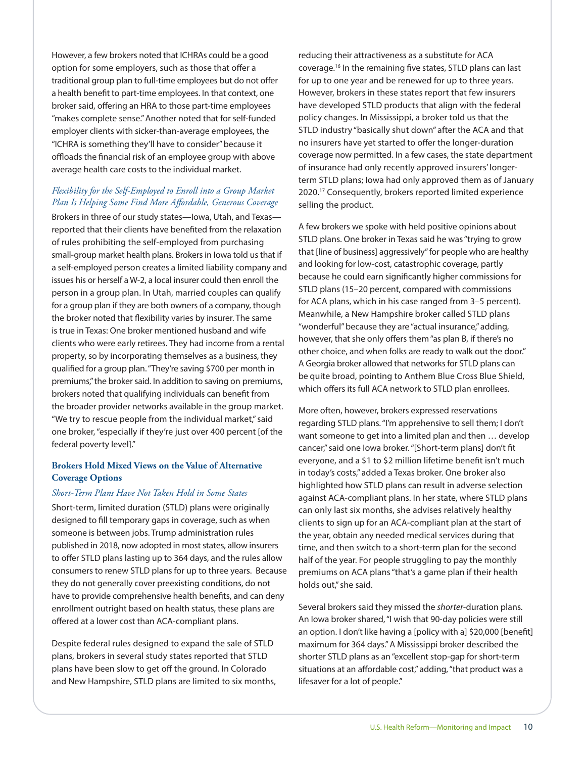However, a few brokers noted that ICHRAs could be a good option for some employers, such as those that offer a traditional group plan to full-time employees but do not offer a health benefit to part-time employees. In that context, one broker said, offering an HRA to those part-time employees "makes complete sense." Another noted that for self-funded employer clients with sicker-than-average employees, the "ICHRA is something they'll have to consider" because it offloads the financial risk of an employee group with above average health care costs to the individual market.

## *Flexibility for the Self-Employed to Enroll into a Group Market Plan Is Helping Some Find More Affordable, Generous Coverage*

Brokers in three of our study states—Iowa, Utah, and Texas reported that their clients have benefited from the relaxation of rules prohibiting the self-employed from purchasing small-group market health plans. Brokers in Iowa told us that if a self-employed person creates a limited liability company and issues his or herself a W-2, a local insurer could then enroll the person in a group plan. In Utah, married couples can qualify for a group plan if they are both owners of a company, though the broker noted that flexibility varies by insurer. The same is true in Texas: One broker mentioned husband and wife clients who were early retirees. They had income from a rental property, so by incorporating themselves as a business, they qualified for a group plan. "They're saving \$700 per month in premiums," the broker said. In addition to saving on premiums, brokers noted that qualifying individuals can benefit from the broader provider networks available in the group market. "We try to rescue people from the individual market," said one broker, "especially if they're just over 400 percent [of the federal poverty level]."

### **Brokers Hold Mixed Views on the Value of Alternative Coverage Options**

#### *Short-Term Plans Have Not Taken Hold in Some States*

Short-term, limited duration (STLD) plans were originally designed to fill temporary gaps in coverage, such as when someone is between jobs. Trump administration rules published in 2018, now adopted in most states, allow insurers to offer STLD plans lasting up to 364 days, and the rules allow consumers to renew STLD plans for up to three years. Because they do not generally cover preexisting conditions, do not have to provide comprehensive health benefits, and can deny enrollment outright based on health status, these plans are offered at a lower cost than ACA-compliant plans.

Despite federal rules designed to expand the sale of STLD plans, brokers in several study states reported that STLD plans have been slow to get off the ground. In Colorado and New Hampshire, STLD plans are limited to six months, reducing their attractiveness as a substitute for ACA coverage.16 In the remaining five states, STLD plans can last for up to one year and be renewed for up to three years. However, brokers in these states report that few insurers have developed STLD products that align with the federal policy changes. In Mississippi, a broker told us that the STLD industry "basically shut down" after the ACA and that no insurers have yet started to offer the longer-duration coverage now permitted. In a few cases, the state department of insurance had only recently approved insurers' longerterm STLD plans; Iowa had only approved them as of January 2020.17 Consequently, brokers reported limited experience selling the product.

A few brokers we spoke with held positive opinions about STLD plans. One broker in Texas said he was "trying to grow that [line of business] aggressively" for people who are healthy and looking for low-cost, catastrophic coverage, partly because he could earn significantly higher commissions for STLD plans (15–20 percent, compared with commissions for ACA plans, which in his case ranged from 3–5 percent). Meanwhile, a New Hampshire broker called STLD plans "wonderful" because they are "actual insurance," adding, however, that she only offers them "as plan B, if there's no other choice, and when folks are ready to walk out the door." A Georgia broker allowed that networks for STLD plans can be quite broad, pointing to Anthem Blue Cross Blue Shield, which offers its full ACA network to STLD plan enrollees.

More often, however, brokers expressed reservations regarding STLD plans. "I'm apprehensive to sell them; I don't want someone to get into a limited plan and then … develop cancer," said one Iowa broker. "[Short-term plans] don't fit everyone, and a \$1 to \$2 million lifetime benefit isn't much in today's costs," added a Texas broker. One broker also highlighted how STLD plans can result in adverse selection against ACA-compliant plans. In her state, where STLD plans can only last six months, she advises relatively healthy clients to sign up for an ACA-compliant plan at the start of the year, obtain any needed medical services during that time, and then switch to a short-term plan for the second half of the year. For people struggling to pay the monthly premiums on ACA plans "that's a game plan if their health holds out," she said.

Several brokers said they missed the *shorter*-duration plans. An Iowa broker shared, "I wish that 90-day policies were still an option. I don't like having a [policy with a] \$20,000 [benefit] maximum for 364 days." A Mississippi broker described the shorter STLD plans as an "excellent stop-gap for short-term situations at an affordable cost," adding, "that product was a lifesaver for a lot of people."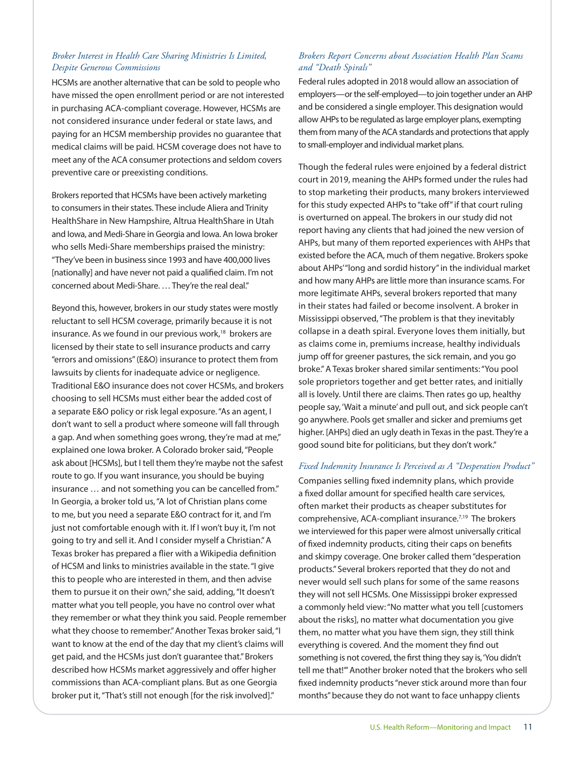## *Broker Interest in Health Care Sharing Ministries Is Limited, Despite Generous Commissions*

HCSMs are another alternative that can be sold to people who have missed the open enrollment period or are not interested in purchasing ACA-compliant coverage. However, HCSMs are not considered insurance under federal or state laws, and paying for an HCSM membership provides no guarantee that medical claims will be paid. HCSM coverage does not have to meet any of the ACA consumer protections and seldom covers preventive care or preexisting conditions.

Brokers reported that HCSMs have been actively marketing to consumers in their states. These include Aliera and Trinity HealthShare in New Hampshire, Altrua HealthShare in Utah and Iowa, and Medi-Share in Georgia and Iowa. An Iowa broker who sells Medi-Share memberships praised the ministry: "They've been in business since 1993 and have 400,000 lives [nationally] and have never not paid a qualified claim. I'm not concerned about Medi-Share. … They're the real deal."

Beyond this, however, brokers in our study states were mostly reluctant to sell HCSM coverage, primarily because it is not insurance. As we found in our previous work,<sup>18</sup> brokers are licensed by their state to sell insurance products and carry "errors and omissions" (E&O) insurance to protect them from lawsuits by clients for inadequate advice or negligence. Traditional E&O insurance does not cover HCSMs, and brokers choosing to sell HCSMs must either bear the added cost of a separate E&O policy or risk legal exposure. "As an agent, I don't want to sell a product where someone will fall through a gap. And when something goes wrong, they're mad at me," explained one Iowa broker. A Colorado broker said, "People ask about [HCSMs], but I tell them they're maybe not the safest route to go. If you want insurance, you should be buying insurance … and not something you can be cancelled from." In Georgia, a broker told us, "A lot of Christian plans come to me, but you need a separate E&O contract for it, and I'm just not comfortable enough with it. If I won't buy it, I'm not going to try and sell it. And I consider myself a Christian." A Texas broker has prepared a flier with a Wikipedia definition of HCSM and links to ministries available in the state. "I give this to people who are interested in them, and then advise them to pursue it on their own," she said, adding, "It doesn't matter what you tell people, you have no control over what they remember or what they think you said. People remember what they choose to remember." Another Texas broker said, "I want to know at the end of the day that my client's claims will get paid, and the HCSMs just don't guarantee that." Brokers described how HCSMs market aggressively and offer higher commissions than ACA-compliant plans. But as one Georgia broker put it, "That's still not enough [for the risk involved]."

# *Brokers Report Concerns about Association Health Plan Scams and "Death Spirals"*

Federal rules adopted in 2018 would allow an association of employers—or the self-employed—to join together under an AHP and be considered a single employer. This designation would allow AHPs to be regulated as large employer plans, exempting them from many of the ACA standards and protections that apply to small-employer and individual market plans.

Though the federal rules were enjoined by a federal district court in 2019, meaning the AHPs formed under the rules had to stop marketing their products, many brokers interviewed for this study expected AHPs to "take off" if that court ruling is overturned on appeal. The brokers in our study did not report having any clients that had joined the new version of AHPs, but many of them reported experiences with AHPs that existed before the ACA, much of them negative. Brokers spoke about AHPs'"long and sordid history" in the individual market and how many AHPs are little more than insurance scams. For more legitimate AHPs, several brokers reported that many in their states had failed or become insolvent. A broker in Mississippi observed, "The problem is that they inevitably collapse in a death spiral. Everyone loves them initially, but as claims come in, premiums increase, healthy individuals jump off for greener pastures, the sick remain, and you go broke." A Texas broker shared similar sentiments: "You pool sole proprietors together and get better rates, and initially all is lovely. Until there are claims. Then rates go up, healthy people say, 'Wait a minute' and pull out, and sick people can't go anywhere. Pools get smaller and sicker and premiums get higher. [AHPs] died an ugly death in Texas in the past. They're a good sound bite for politicians, but they don't work."

#### *Fixed Indemnity Insurance Is Perceived as A "Desperation Product"*

Companies selling fixed indemnity plans, which provide a fixed dollar amount for specified health care services, often market their products as cheaper substitutes for comprehensive, ACA-compliant insurance.<sup>7,19</sup> The brokers we interviewed for this paper were almost universally critical of fixed indemnity products, citing their caps on benefits and skimpy coverage. One broker called them "desperation products." Several brokers reported that they do not and never would sell such plans for some of the same reasons they will not sell HCSMs. One Mississippi broker expressed a commonly held view: "No matter what you tell [customers about the risks], no matter what documentation you give them, no matter what you have them sign, they still think everything is covered. And the moment they find out something is not covered, the first thing they say is, 'You didn't tell me that!'" Another broker noted that the brokers who sell fixed indemnity products "never stick around more than four months" because they do not want to face unhappy clients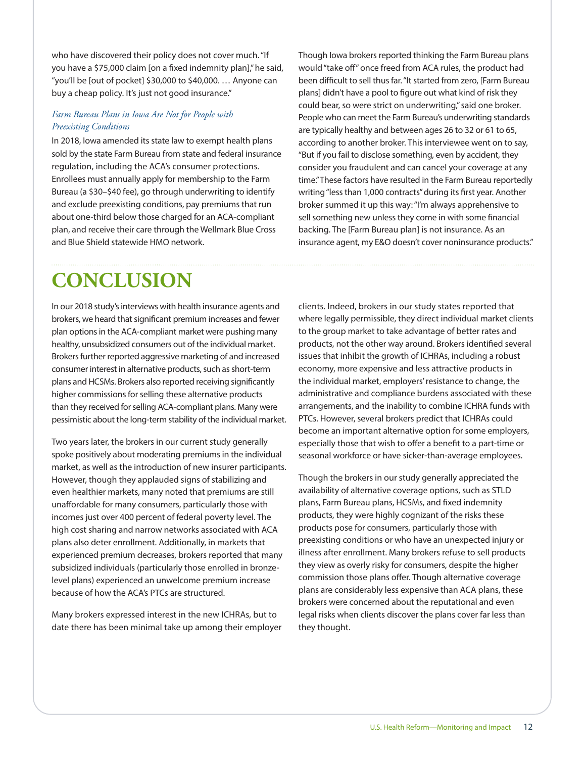who have discovered their policy does not cover much. "If you have a \$75,000 claim [on a fixed indemnity plan]," he said, "you'll be [out of pocket] \$30,000 to \$40,000. … Anyone can buy a cheap policy. It's just not good insurance."

### *Farm Bureau Plans in Iowa Are Not for People with Preexisting Conditions*

In 2018, Iowa amended its state law to exempt health plans sold by the state Farm Bureau from state and federal insurance regulation, including the ACA's consumer protections. Enrollees must annually apply for membership to the Farm Bureau (a \$30–\$40 fee), go through underwriting to identify and exclude preexisting conditions, pay premiums that run about one-third below those charged for an ACA-compliant plan, and receive their care through the Wellmark Blue Cross and Blue Shield statewide HMO network.

Though Iowa brokers reported thinking the Farm Bureau plans would "take off" once freed from ACA rules, the product had been difficult to sell thus far. "It started from zero, [Farm Bureau plans] didn't have a pool to figure out what kind of risk they could bear, so were strict on underwriting," said one broker. People who can meet the Farm Bureau's underwriting standards are typically healthy and between ages 26 to 32 or 61 to 65, according to another broker. This interviewee went on to say, "But if you fail to disclose something, even by accident, they consider you fraudulent and can cancel your coverage at any time." These factors have resulted in the Farm Bureau reportedly writing "less than 1,000 contracts" during its first year. Another broker summed it up this way: "I'm always apprehensive to sell something new unless they come in with some financial backing. The [Farm Bureau plan] is not insurance. As an insurance agent, my E&O doesn't cover noninsurance products."

# **CONCLUSION**

In our 2018 study's interviews with health insurance agents and brokers, we heard that significant premium increases and fewer plan options in the ACA-compliant market were pushing many healthy, unsubsidized consumers out of the individual market. Brokers further reported aggressive marketing of and increased consumer interest in alternative products, such as short-term plans and HCSMs. Brokers also reported receiving significantly higher commissions for selling these alternative products than they received for selling ACA-compliant plans. Many were pessimistic about the long-term stability of the individual market.

Two years later, the brokers in our current study generally spoke positively about moderating premiums in the individual market, as well as the introduction of new insurer participants. However, though they applauded signs of stabilizing and even healthier markets, many noted that premiums are still unaffordable for many consumers, particularly those with incomes just over 400 percent of federal poverty level. The high cost sharing and narrow networks associated with ACA plans also deter enrollment. Additionally, in markets that experienced premium decreases, brokers reported that many subsidized individuals (particularly those enrolled in bronzelevel plans) experienced an unwelcome premium increase because of how the ACA's PTCs are structured.

Many brokers expressed interest in the new ICHRAs, but to date there has been minimal take up among their employer clients. Indeed, brokers in our study states reported that where legally permissible, they direct individual market clients to the group market to take advantage of better rates and products, not the other way around. Brokers identified several issues that inhibit the growth of ICHRAs, including a robust economy, more expensive and less attractive products in the individual market, employers' resistance to change, the administrative and compliance burdens associated with these arrangements, and the inability to combine ICHRA funds with PTCs. However, several brokers predict that ICHRAs could become an important alternative option for some employers, especially those that wish to offer a benefit to a part-time or seasonal workforce or have sicker-than-average employees.

Though the brokers in our study generally appreciated the availability of alternative coverage options, such as STLD plans, Farm Bureau plans, HCSMs, and fixed indemnity products, they were highly cognizant of the risks these products pose for consumers, particularly those with preexisting conditions or who have an unexpected injury or illness after enrollment. Many brokers refuse to sell products they view as overly risky for consumers, despite the higher commission those plans offer. Though alternative coverage plans are considerably less expensive than ACA plans, these brokers were concerned about the reputational and even legal risks when clients discover the plans cover far less than they thought.